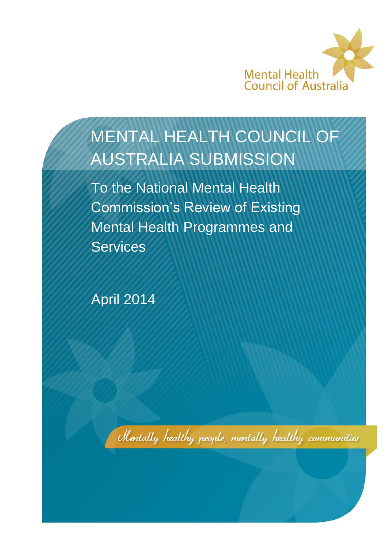

# MENTAL HEALTH COUNCIL OF AUSTRALIA SUBMISSION

To the National Mental Health Commission's Review of Existing Mental Health Programmes and **Services** 

April 2014

Mentally healthy people, mentally healthy communities

 $\mathbb{R}$  , National Mental Mental Mental Health Commission's review of mental health programmes and services 1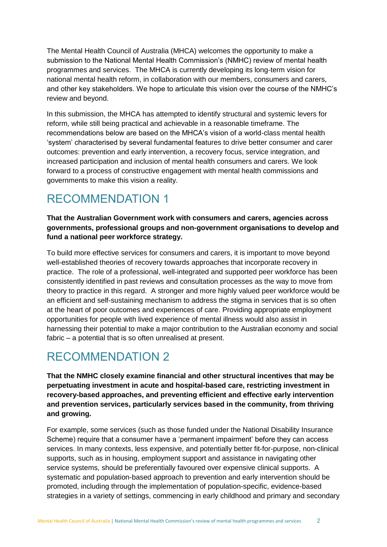The Mental Health Council of Australia (MHCA) welcomes the opportunity to make a submission to the National Mental Health Commission's (NMHC) review of mental health programmes and services. The MHCA is currently developing its long-term vision for national mental health reform, in collaboration with our members, consumers and carers, and other key stakeholders. We hope to articulate this vision over the course of the NMHC's review and beyond.

In this submission, the MHCA has attempted to identify structural and systemic levers for reform, while still being practical and achievable in a reasonable timeframe. The recommendations below are based on the MHCA's vision of a world-class mental health 'system' characterised by several fundamental features to drive better consumer and carer outcomes: prevention and early intervention, a recovery focus, service integration, and increased participation and inclusion of mental health consumers and carers. We look forward to a process of constructive engagement with mental health commissions and governments to make this vision a reality.

### RECOMMENDATION 1

**That the Australian Government work with consumers and carers, agencies across governments, professional groups and non-government organisations to develop and fund a national peer workforce strategy.** 

To build more effective services for consumers and carers, it is important to move beyond well-established theories of recovery towards approaches that incorporate recovery in practice. The role of a professional, well-integrated and supported peer workforce has been consistently identified in past reviews and consultation processes as the way to move from theory to practice in this regard. A stronger and more highly valued peer workforce would be an efficient and self-sustaining mechanism to address the stigma in services that is so often at the heart of poor outcomes and experiences of care. Providing appropriate employment opportunities for people with lived experience of mental illness would also assist in harnessing their potential to make a major contribution to the Australian economy and social fabric – a potential that is so often unrealised at present.

### RECOMMENDATION 2

**That the NMHC closely examine financial and other structural incentives that may be perpetuating investment in acute and hospital-based care, restricting investment in recovery-based approaches, and preventing efficient and effective early intervention and prevention services, particularly services based in the community, from thriving and growing.** 

For example, some services (such as those funded under the National Disability Insurance Scheme) require that a consumer have a 'permanent impairment' before they can access services. In many contexts, less expensive, and potentially better fit-for-purpose, non-clinical supports, such as in housing, employment support and assistance in navigating other service systems, should be preferentially favoured over expensive clinical supports. A systematic and population-based approach to prevention and early intervention should be promoted, including through the implementation of population-specific, evidence-based strategies in a variety of settings, commencing in early childhood and primary and secondary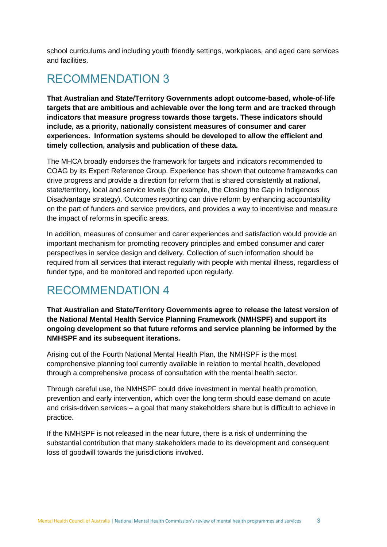school curriculums and including youth friendly settings, workplaces, and aged care services and facilities.

### RECOMMENDATION 3

**That Australian and State/Territory Governments adopt outcome-based, whole-of-life targets that are ambitious and achievable over the long term and are tracked through indicators that measure progress towards those targets. These indicators should include, as a priority, nationally consistent measures of consumer and carer experiences. Information systems should be developed to allow the efficient and timely collection, analysis and publication of these data.**

The MHCA broadly endorses the framework for targets and indicators recommended to COAG by its Expert Reference Group. Experience has shown that outcome frameworks can drive progress and provide a direction for reform that is shared consistently at national, state/territory, local and service levels (for example, the Closing the Gap in Indigenous Disadvantage strategy). Outcomes reporting can drive reform by enhancing accountability on the part of funders and service providers, and provides a way to incentivise and measure the impact of reforms in specific areas.

In addition, measures of consumer and carer experiences and satisfaction would provide an important mechanism for promoting recovery principles and embed consumer and carer perspectives in service design and delivery. Collection of such information should be required from all services that interact regularly with people with mental illness, regardless of funder type, and be monitored and reported upon regularly.

### RECOMMENDATION 4

**That Australian and State/Territory Governments agree to release the latest version of the National Mental Health Service Planning Framework (NMHSPF) and support its ongoing development so that future reforms and service planning be informed by the NMHSPF and its subsequent iterations.**

Arising out of the Fourth National Mental Health Plan, the NMHSPF is the most comprehensive planning tool currently available in relation to mental health, developed through a comprehensive process of consultation with the mental health sector.

Through careful use, the NMHSPF could drive investment in mental health promotion, prevention and early intervention, which over the long term should ease demand on acute and crisis-driven services – a goal that many stakeholders share but is difficult to achieve in practice.

If the NMHSPF is not released in the near future, there is a risk of undermining the substantial contribution that many stakeholders made to its development and consequent loss of goodwill towards the jurisdictions involved.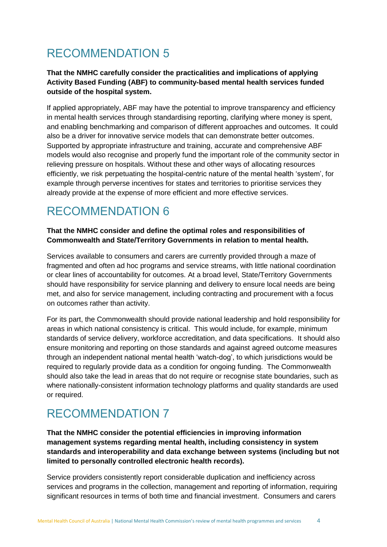## RECOMMENDATION 5

#### **That the NMHC carefully consider the practicalities and implications of applying Activity Based Funding (ABF) to community-based mental health services funded outside of the hospital system.**

If applied appropriately, ABF may have the potential to improve transparency and efficiency in mental health services through standardising reporting, clarifying where money is spent, and enabling benchmarking and comparison of different approaches and outcomes. It could also be a driver for innovative service models that can demonstrate better outcomes. Supported by appropriate infrastructure and training, accurate and comprehensive ABF models would also recognise and properly fund the important role of the community sector in relieving pressure on hospitals. Without these and other ways of allocating resources efficiently, we risk perpetuating the hospital-centric nature of the mental health 'system', for example through perverse incentives for states and territories to prioritise services they already provide at the expense of more efficient and more effective services.

### RECOMMENDATION 6

#### **That the NMHC consider and define the optimal roles and responsibilities of Commonwealth and State/Territory Governments in relation to mental health.**

Services available to consumers and carers are currently provided through a maze of fragmented and often ad hoc programs and service streams, with little national coordination or clear lines of accountability for outcomes. At a broad level, State/Territory Governments should have responsibility for service planning and delivery to ensure local needs are being met, and also for service management, including contracting and procurement with a focus on outcomes rather than activity.

For its part, the Commonwealth should provide national leadership and hold responsibility for areas in which national consistency is critical. This would include, for example, minimum standards of service delivery, workforce accreditation, and data specifications. It should also ensure monitoring and reporting on those standards and against agreed outcome measures through an independent national mental health 'watch-dog', to which jurisdictions would be required to regularly provide data as a condition for ongoing funding. The Commonwealth should also take the lead in areas that do not require or recognise state boundaries, such as where nationally-consistent information technology platforms and quality standards are used or required.

### RECOMMENDATION 7

**That the NMHC consider the potential efficiencies in improving information management systems regarding mental health, including consistency in system standards and interoperability and data exchange between systems (including but not limited to personally controlled electronic health records).**

Service providers consistently report considerable duplication and inefficiency across services and programs in the collection, management and reporting of information, requiring significant resources in terms of both time and financial investment. Consumers and carers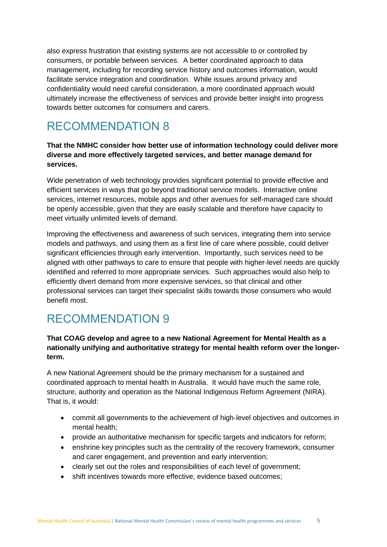also express frustration that existing systems are not accessible to or controlled by consumers, or portable between services. A better coordinated approach to data management, including for recording service history and outcomes information, would facilitate service integration and coordination. While issues around privacy and confidentiality would need careful consideration, a more coordinated approach would ultimately increase the effectiveness of services and provide better insight into progress towards better outcomes for consumers and carers.

### RECOMMENDATION 8

#### **That the NMHC consider how better use of information technology could deliver more diverse and more effectively targeted services, and better manage demand for services.**

Wide penetration of web technology provides significant potential to provide effective and efficient services in ways that go beyond traditional service models. Interactive online services, internet resources, mobile apps and other avenues for self-managed care should be openly accessible, given that they are easily scalable and therefore have capacity to meet virtually unlimited levels of demand.

Improving the effectiveness and awareness of such services, integrating them into service models and pathways, and using them as a first line of care where possible, could deliver significant efficiencies through early intervention. Importantly, such services need to be aligned with other pathways to care to ensure that people with higher-level needs are quickly identified and referred to more appropriate services. Such approaches would also help to efficiently divert demand from more expensive services, so that clinical and other professional services can target their specialist skills towards those consumers who would benefit most.

### RECOMMENDATION 9

#### **That COAG develop and agree to a new National Agreement for Mental Health as a nationally unifying and authoritative strategy for mental health reform over the longerterm.**

A new National Agreement should be the primary mechanism for a sustained and coordinated approach to mental health in Australia. It would have much the same role, structure, authority and operation as the National Indigenous Reform Agreement (NIRA). That is, it would:

- commit all governments to the achievement of high-level objectives and outcomes in mental health;
- provide an authoritative mechanism for specific targets and indicators for reform;
- enshrine key principles such as the centrality of the recovery framework, consumer and carer engagement, and prevention and early intervention;
- clearly set out the roles and responsibilities of each level of government;
- shift incentives towards more effective, evidence based outcomes;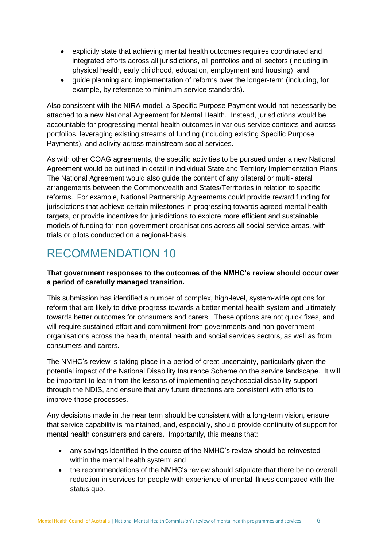- explicitly state that achieving mental health outcomes requires coordinated and integrated efforts across all jurisdictions, all portfolios and all sectors (including in physical health, early childhood, education, employment and housing); and
- guide planning and implementation of reforms over the longer-term (including, for example, by reference to minimum service standards).

Also consistent with the NIRA model, a Specific Purpose Payment would not necessarily be attached to a new National Agreement for Mental Health. Instead, jurisdictions would be accountable for progressing mental health outcomes in various service contexts and across portfolios, leveraging existing streams of funding (including existing Specific Purpose Payments), and activity across mainstream social services.

As with other COAG agreements, the specific activities to be pursued under a new National Agreement would be outlined in detail in individual State and Territory Implementation Plans. The National Agreement would also guide the content of any bilateral or multi-lateral arrangements between the Commonwealth and States/Territories in relation to specific reforms. For example, National Partnership Agreements could provide reward funding for jurisdictions that achieve certain milestones in progressing towards agreed mental health targets, or provide incentives for jurisdictions to explore more efficient and sustainable models of funding for non-government organisations across all social service areas, with trials or pilots conducted on a regional-basis.

### RECOMMENDATION 10

#### **That government responses to the outcomes of the NMHC's review should occur over a period of carefully managed transition.**

This submission has identified a number of complex, high-level, system-wide options for reform that are likely to drive progress towards a better mental health system and ultimately towards better outcomes for consumers and carers. These options are not quick fixes, and will require sustained effort and commitment from governments and non-government organisations across the health, mental health and social services sectors, as well as from consumers and carers.

The NMHC's review is taking place in a period of great uncertainty, particularly given the potential impact of the National Disability Insurance Scheme on the service landscape. It will be important to learn from the lessons of implementing psychosocial disability support through the NDIS, and ensure that any future directions are consistent with efforts to improve those processes.

Any decisions made in the near term should be consistent with a long-term vision, ensure that service capability is maintained, and, especially, should provide continuity of support for mental health consumers and carers. Importantly, this means that:

- any savings identified in the course of the NMHC's review should be reinvested within the mental health system; and
- the recommendations of the NMHC's review should stipulate that there be no overall reduction in services for people with experience of mental illness compared with the status quo.